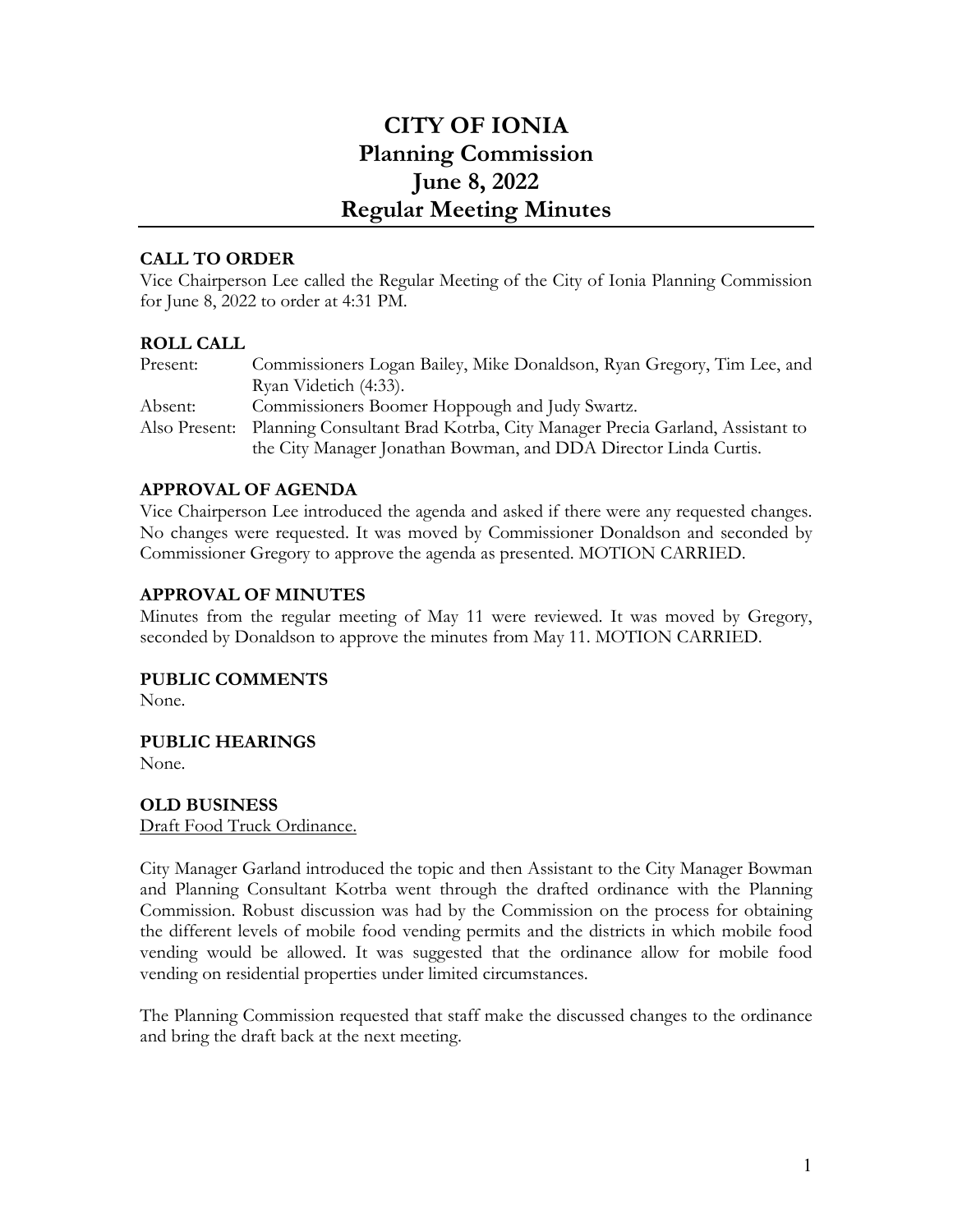# **CITY OF IONIA Planning Commission June 8, 2022 Regular Meeting Minutes**

## **CALL TO ORDER**

Vice Chairperson Lee called the Regular Meeting of the City of Ionia Planning Commission for June 8, 2022 to order at 4:31 PM.

#### **ROLL CALL**

| Present: | Commissioners Logan Bailey, Mike Donaldson, Ryan Gregory, Tim Lee, and                   |
|----------|------------------------------------------------------------------------------------------|
|          | Ryan Videtich (4:33).                                                                    |
| Absent:  | Commissioners Boomer Hoppough and Judy Swartz.                                           |
|          | Also Present: Planning Consultant Brad Kotrba, City Manager Precia Garland, Assistant to |
|          | the City Manager Jonathan Bowman, and DDA Director Linda Curtis.                         |

#### **APPROVAL OF AGENDA**

Vice Chairperson Lee introduced the agenda and asked if there were any requested changes. No changes were requested. It was moved by Commissioner Donaldson and seconded by Commissioner Gregory to approve the agenda as presented. MOTION CARRIED.

#### **APPROVAL OF MINUTES**

Minutes from the regular meeting of May 11 were reviewed. It was moved by Gregory, seconded by Donaldson to approve the minutes from May 11. MOTION CARRIED.

**PUBLIC COMMENTS**

None.

**PUBLIC HEARINGS**

None.

#### **OLD BUSINESS** Draft Food Truck Ordinance.

City Manager Garland introduced the topic and then Assistant to the City Manager Bowman and Planning Consultant Kotrba went through the drafted ordinance with the Planning Commission. Robust discussion was had by the Commission on the process for obtaining the different levels of mobile food vending permits and the districts in which mobile food vending would be allowed. It was suggested that the ordinance allow for mobile food vending on residential properties under limited circumstances.

The Planning Commission requested that staff make the discussed changes to the ordinance and bring the draft back at the next meeting.